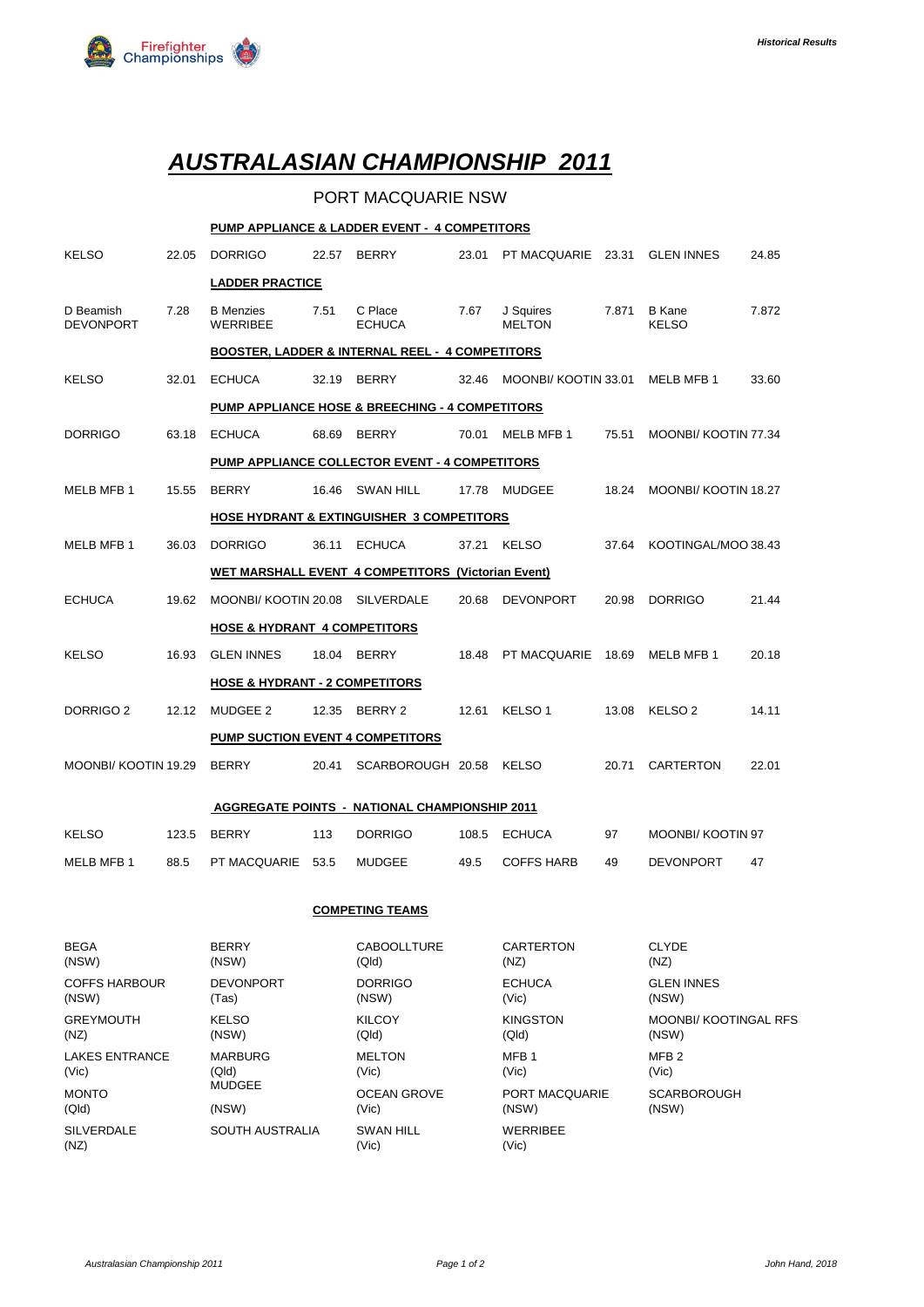

# *AUSTRALASIAN CHAMPIONSHIP 2011*

### PORT MACQUARIE NSW

#### **PUMP APPLIANCE & LADDER EVENT - 4 COMPETITORS**

| <b>KELSO</b>                                               | 22.05                                           | <b>DORRIGO</b>                      | 22.57 | <b>BERRY</b>                | 23.01 | PT MACQUARIE 23.31         |       | <b>GLEN INNES</b>             | 24.85 |
|------------------------------------------------------------|-------------------------------------------------|-------------------------------------|-------|-----------------------------|-------|----------------------------|-------|-------------------------------|-------|
|                                                            |                                                 | <b>LADDER PRACTICE</b>              |       |                             |       |                            |       |                               |       |
| D Beamish<br><b>DEVONPORT</b>                              | 7.28                                            | <b>B</b> Menzies<br><b>WERRIBEE</b> | 7.51  | C Place<br><b>ECHUCA</b>    | 7.67  | J Squires<br><b>MELTON</b> | 7.871 | <b>B</b> Kane<br><b>KELSO</b> | 7.872 |
| <b>BOOSTER, LADDER &amp; INTERNAL REEL - 4 COMPETITORS</b> |                                                 |                                     |       |                             |       |                            |       |                               |       |
| <b>KELSO</b>                                               | 32.01                                           | <b>ECHUCA</b>                       | 32.19 | <b>BERRY</b>                | 32.46 | MOONBI/ KOOTIN 33.01       |       | MELB MFB 1                    | 33.60 |
|                                                            | PUMP APPLIANCE HOSE & BREECHING - 4 COMPETITORS |                                     |       |                             |       |                            |       |                               |       |
| <b>DORRIGO</b>                                             | 63.18                                           | <b>ECHUCA</b>                       | 68.69 | <b>BERRY</b>                | 70.01 | MELB MFB 1                 | 75.51 | MOONBI/ KOOTIN 77.34          |       |
| PUMP APPLIANCE COLLECTOR EVENT - 4 COMPETITORS             |                                                 |                                     |       |                             |       |                            |       |                               |       |
| MELB MFB 1                                                 | 15.55                                           | <b>BERRY</b>                        | 16.46 | <b>SWAN HILL</b>            | 17.78 | <b>MUDGEE</b>              | 18.24 | MOONBI/ KOOTIN 18.27          |       |
| <b>HOSE HYDRANT &amp; EXTINGUISHER 3 COMPETITORS</b>       |                                                 |                                     |       |                             |       |                            |       |                               |       |
| MELB MFB 1                                                 | 36.03                                           | <b>DORRIGO</b>                      | 36.11 | <b>ECHUCA</b>               | 37.21 | <b>KELSO</b>               | 37.64 | KOOTINGAL/MOO 38.43           |       |
| <b>WET MARSHALL EVENT 4 COMPETITORS (Victorian Event)</b>  |                                                 |                                     |       |                             |       |                            |       |                               |       |
| <b>ECHUCA</b>                                              | 19.62                                           | MOONBI/ KOOTIN 20.08                |       | <b>SILVERDALE</b>           | 20.68 | <b>DEVONPORT</b>           | 20.98 | <b>DORRIGO</b>                | 21.44 |
| <b>HOSE &amp; HYDRANT 4 COMPETITORS</b>                    |                                                 |                                     |       |                             |       |                            |       |                               |       |
| <b>KELSO</b>                                               | 16.93                                           | <b>GLEN INNES</b>                   | 18.04 | <b>BERRY</b>                | 18.48 | PT MACQUARIE               | 18.69 | MELB MFB 1                    | 20.18 |
| <b>HOSE &amp; HYDRANT - 2 COMPETITORS</b>                  |                                                 |                                     |       |                             |       |                            |       |                               |       |
| DORRIGO <sub>2</sub>                                       | 12.12                                           | MUDGEE 2                            | 12.35 | BERRY 2                     | 12.61 | KELSO <sub>1</sub>         | 13.08 | KELSO <sub>2</sub>            | 14.11 |
|                                                            |                                                 | PUMP SUCTION EVENT 4 COMPETITORS    |       |                             |       |                            |       |                               |       |
| MOONBI/ KOOTIN 19.29                                       |                                                 | <b>BERRY</b>                        | 20.41 | SCARBOROUGH 20.58           |       | <b>KELSO</b>               | 20.71 | <b>CARTERTON</b>              | 22.01 |
|                                                            |                                                 |                                     |       |                             |       |                            |       |                               |       |
| <b>AGGREGATE POINTS - NATIONAL CHAMPIONSHIP 2011</b>       |                                                 |                                     |       |                             |       |                            |       |                               |       |
| <b>KELSO</b>                                               | 123.5                                           | <b>BERRY</b>                        | 113   | <b>DORRIGO</b>              | 108.5 | <b>ECHUCA</b>              | 97    | <b>MOONBI/ KOOTIN 97</b>      |       |
| MELB MFB 1                                                 | 88.5                                            | PT MACQUARIE                        | 53.5  | <b>MUDGEE</b>               | 49.5  | <b>COFFS HARB</b>          | 49    | <b>DEVONPORT</b>              | 47    |
| <b>COMPETING TEAMS</b>                                     |                                                 |                                     |       |                             |       |                            |       |                               |       |
| <b>BEGA</b><br>(NSW)                                       |                                                 | <b>BERRY</b><br>(NSW)               |       | <b>CABOOLLTURE</b><br>(Qld) |       | <b>CARTERTON</b><br>(NZ)   |       | <b>CLYDE</b><br>(NZ)          |       |
| <b>COFFS HARBOUR</b><br>(NSW)                              |                                                 | <b>DEVONPORT</b><br>(Tas)           |       | <b>DORRIGO</b><br>(NSW)     |       | <b>ECHUCA</b><br>(Vic)     |       | <b>GLEN INNES</b><br>(NSW)    |       |

GREYMOUTH KELSO KILCOY KINGSTON MOONBI/ KOOTINGAL RFS

(NZ) (NSW) (Qld) (Qld) (NSW) LAKES ENTRANCE MARBURG MELTON MEDIA MEDIA MERIZ (Vic) (Qld) (Vic) (Vic) (Vic)

(Qld) (NSW) (Vic) (NSW) (NSW)

SILVERDALE SOUTH AUSTRALIA SWAN HILL WERRIBEE (NZ) (Vic) (Vic)

MUDGEE OCEAN GROVE PORT MACQUARIE SCARBOROUGH (Qld) (NSW) (NSW)